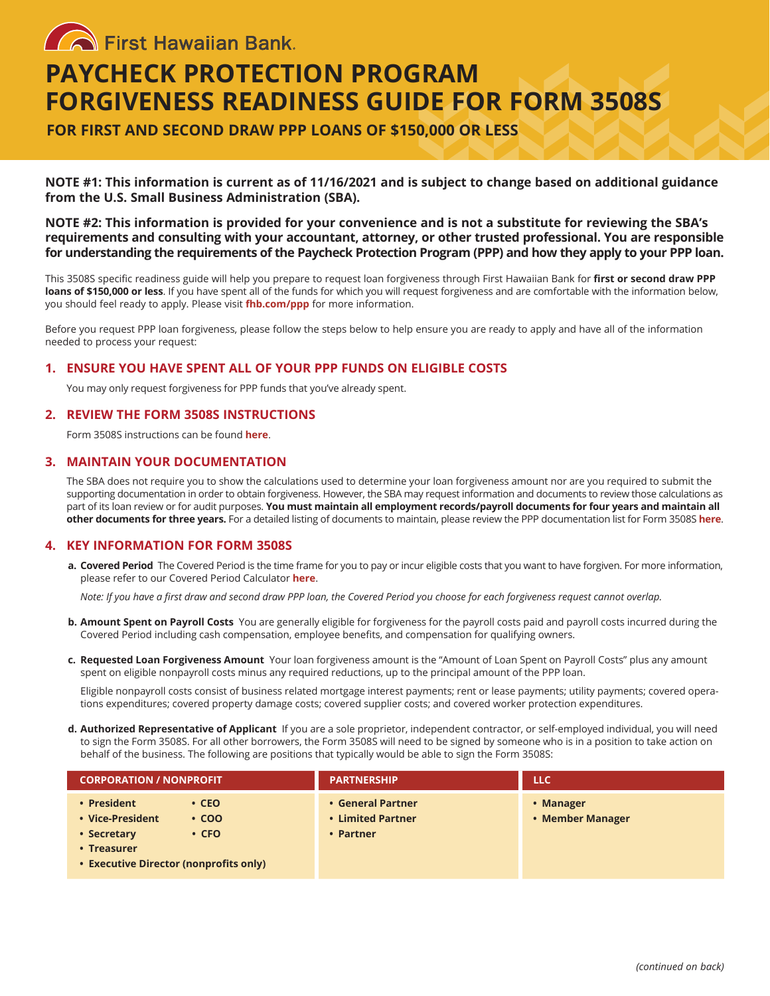**Confirst Hawaiian Bank** 

# **PAYCHECK PROTECTION PROGRAM FORGIVENESS READINESS GUIDE FOR FORM 3508S**

**FOR FIRST AND SECOND DRAW PPP LOANS OF \$150,000 OR LESS**

**NOTE #1: This information is current as of 11/16/2021 and is subject to change based on additional guidance from the U.S. Small Business Administration (SBA).**

**NOTE #2: This information is provided for your convenience and is not a substitute for reviewing the SBA's requirements and consulting with your accountant, attorney, or other trusted professional. You are responsible for understanding the requirements of the Paycheck Protection Program (PPP) and how they apply to your PPP loan.**

This 3508S specific readiness guide will help you prepare to request loan forgiveness through First Hawaiian Bank for **first or second draw PPP loans of \$150,000 or less**. If you have spent all of the funds for which you will request forgiveness and are comfortable with the information below, you should feel ready to apply. Please visit **[fhb.com/ppp](https://www.fhb.com/en/covid-19/SBA-paycheck-protection-program)** for more information.

Before you request PPP loan forgiveness, please follow the steps below to help ensure you are ready to apply and have all of the information needed to process your request:

## **1. ENSURE YOU HAVE SPENT ALL OF YOUR PPP FUNDS ON ELIGIBLE COSTS**

You may only request forgiveness for PPP funds that you've already spent.

## **2. REVIEW THE FORM 3508S INSTRUCTIONS**

Form 3508S instructions can be found **[here](https://www.sba.gov/sites/default/files/2021-07/PPP%20--%20Forgiveness%20Application%20and%20Instructions%20--%203508S%20%287.30.2021%29-508.pdf)**.

#### **3. MAINTAIN YOUR DOCUMENTATION**

The SBA does not require you to show the calculations used to determine your loan forgiveness amount nor are you required to submit the supporting documentation in order to obtain forgiveness. However, the SBA may request information and documents to review those calculations as part of its loan review or for audit purposes. **You must maintain all employment records/payroll documents for four years and maintain all other documents for three years.** For a detailed listing of documents to maintain, please review the PPP documentation list for Form 3508S **[here](https://www.sba.gov/sites/default/files/2021-07/PPP%20--%20Forgiveness%20Application%20and%20Instructions%20--%203508S%20%287.30.2021%29-508.pdf)**.

#### **4. KEY INFORMATION FOR FORM 3508S**

**a. Covered Period** The Covered Period is the time frame for you to pay or incur eligible costs that you want to have forgiven. For more information, please refer to our Covered Period Calculator **[here](https://www.fhb.com/sites/default/files/2021-03/Covered%20Period%20and%20Deferment%20Period%20Calculator-03.20.21.xlsx)**.

Note: If you have a first draw and second draw PPP loan, the Covered Period you choose for each forgiveness request cannot overlap.

- **b. Amount Spent on Payroll Costs** You are generally eligible for forgiveness for the payroll costs paid and payroll costs incurred during the Covered Period including cash compensation, employee benefits, and compensation for qualifying owners.
- **c. Requested Loan Forgiveness Amount** Your loan forgiveness amount is the "Amount of Loan Spent on Payroll Costs" plus any amount spent on eligible nonpayroll costs minus any required reductions, up to the principal amount of the PPP loan.

Eligible nonpayroll costs consist of business related mortgage interest payments; rent or lease payments; utility payments; covered operations expenditures; covered property damage costs; covered supplier costs; and covered worker protection expenditures.

**d. Authorized Representative of Applicant** If you are a sole proprietor, independent contractor, or self-employed individual, you will need to sign the Form 3508S. For all other borrowers, the Form 3508S will need to be signed by someone who is in a position to take action on behalf of the business. The following are positions that typically would be able to sign the Form 3508S:

| <b>CORPORATION / NONPROFIT</b>                                                                                                                       | <b>PARTNERSHIP</b>                                  | <b>LLC</b>                    |
|------------------------------------------------------------------------------------------------------------------------------------------------------|-----------------------------------------------------|-------------------------------|
| • President<br>$\cdot$ CEO<br>• Vice-President<br>$\cdot$ COO<br>$\cdot$ CFO<br>• Secretary<br>• Treasurer<br>• Executive Director (nonprofits only) | • General Partner<br>• Limited Partner<br>• Partner | • Manager<br>• Member Manager |